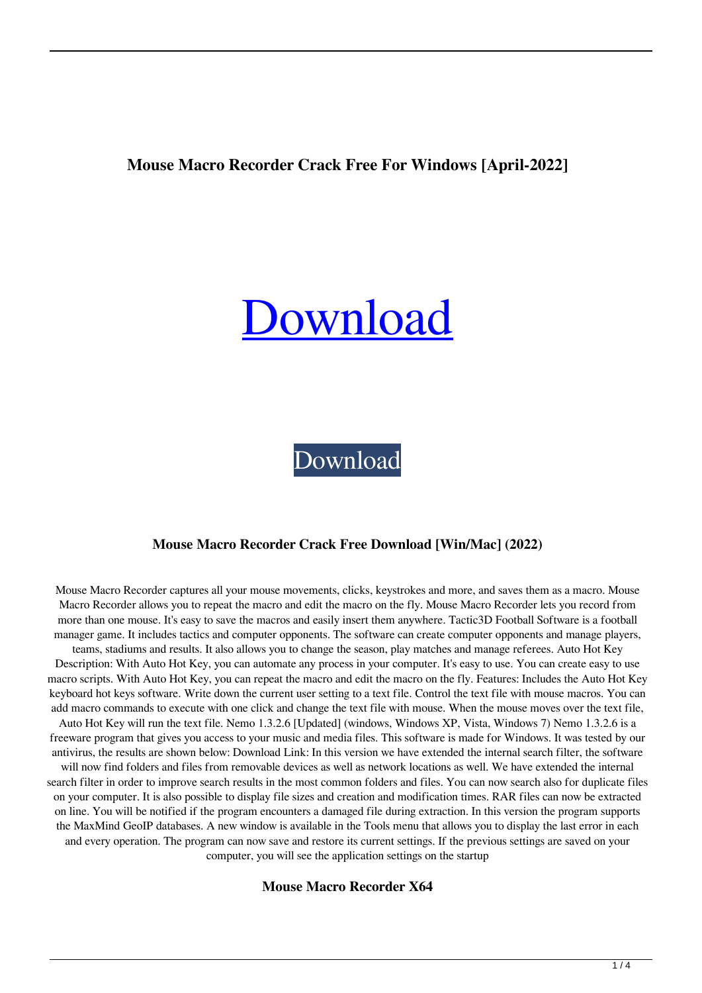## **Mouse Macro Recorder Crack Free For Windows [April-2022]**

# [Download](http://evacdir.com/?barcelona=evodia.shotty.TW91c2UgTWFjcm8gUmVjb3JkZXITW9&ZG93bmxvYWR8eUU1TVd0aWFueDhNVFkxTkRVeU1qRXhNSHg4TWpVM05IeDhLRTBwSUhKbFlXUXRZbXh2WnlCYlJtRnpkQ0JIUlU1ZA=nolde)

[Download](http://evacdir.com/?barcelona=evodia.shotty.TW91c2UgTWFjcm8gUmVjb3JkZXITW9&ZG93bmxvYWR8eUU1TVd0aWFueDhNVFkxTkRVeU1qRXhNSHg4TWpVM05IeDhLRTBwSUhKbFlXUXRZbXh2WnlCYlJtRnpkQ0JIUlU1ZA=nolde)

#### **Mouse Macro Recorder Crack Free Download [Win/Mac] (2022)**

Mouse Macro Recorder captures all your mouse movements, clicks, keystrokes and more, and saves them as a macro. Mouse Macro Recorder allows you to repeat the macro and edit the macro on the fly. Mouse Macro Recorder lets you record from more than one mouse. It's easy to save the macros and easily insert them anywhere. Tactic3D Football Software is a football manager game. It includes tactics and computer opponents. The software can create computer opponents and manage players, teams, stadiums and results. It also allows you to change the season, play matches and manage referees. Auto Hot Key Description: With Auto Hot Key, you can automate any process in your computer. It's easy to use. You can create easy to use macro scripts. With Auto Hot Key, you can repeat the macro and edit the macro on the fly. Features: Includes the Auto Hot Key keyboard hot keys software. Write down the current user setting to a text file. Control the text file with mouse macros. You can add macro commands to execute with one click and change the text file with mouse. When the mouse moves over the text file, Auto Hot Key will run the text file. Nemo 1.3.2.6 [Updated] (windows, Windows XP, Vista, Windows 7) Nemo 1.3.2.6 is a freeware program that gives you access to your music and media files. This software is made for Windows. It was tested by our antivirus, the results are shown below: Download Link: In this version we have extended the internal search filter, the software will now find folders and files from removable devices as well as network locations as well. We have extended the internal search filter in order to improve search results in the most common folders and files. You can now search also for duplicate files on your computer. It is also possible to display file sizes and creation and modification times. RAR files can now be extracted on line. You will be notified if the program encounters a damaged file during extraction. In this version the program supports the MaxMind GeoIP databases. A new window is available in the Tools menu that allows you to display the last error in each and every operation. The program can now save and restore its current settings. If the previous settings are saved on your computer, you will see the application settings on the startup

**Mouse Macro Recorder X64**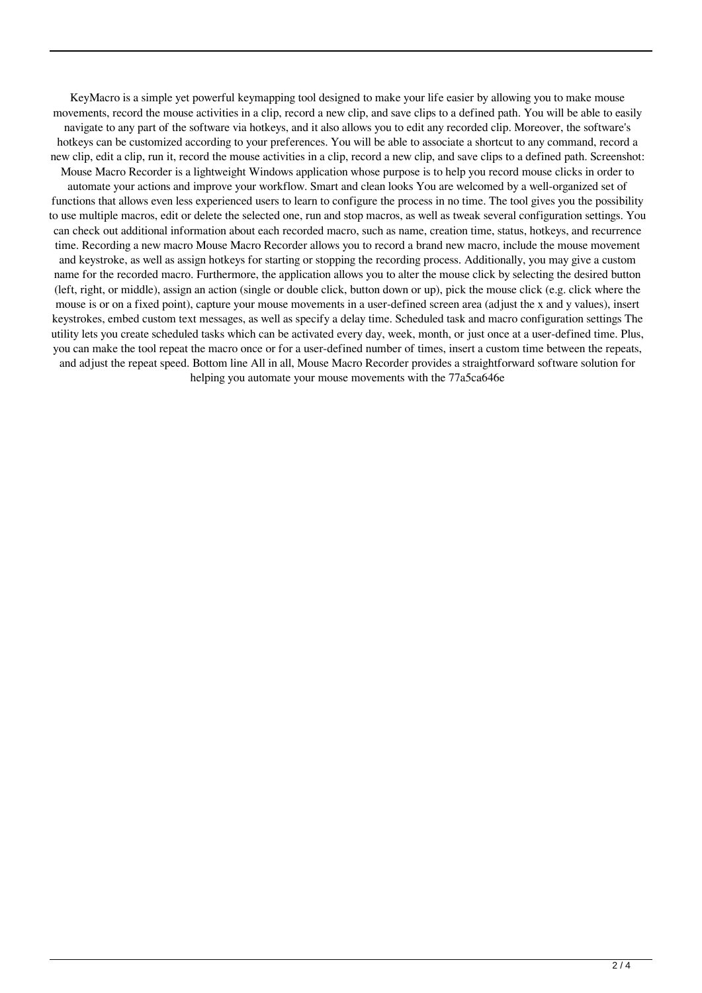KeyMacro is a simple yet powerful keymapping tool designed to make your life easier by allowing you to make mouse movements, record the mouse activities in a clip, record a new clip, and save clips to a defined path. You will be able to easily navigate to any part of the software via hotkeys, and it also allows you to edit any recorded clip. Moreover, the software's hotkeys can be customized according to your preferences. You will be able to associate a shortcut to any command, record a new clip, edit a clip, run it, record the mouse activities in a clip, record a new clip, and save clips to a defined path. Screenshot: Mouse Macro Recorder is a lightweight Windows application whose purpose is to help you record mouse clicks in order to automate your actions and improve your workflow. Smart and clean looks You are welcomed by a well-organized set of functions that allows even less experienced users to learn to configure the process in no time. The tool gives you the possibility to use multiple macros, edit or delete the selected one, run and stop macros, as well as tweak several configuration settings. You can check out additional information about each recorded macro, such as name, creation time, status, hotkeys, and recurrence time. Recording a new macro Mouse Macro Recorder allows you to record a brand new macro, include the mouse movement and keystroke, as well as assign hotkeys for starting or stopping the recording process. Additionally, you may give a custom name for the recorded macro. Furthermore, the application allows you to alter the mouse click by selecting the desired button (left, right, or middle), assign an action (single or double click, button down or up), pick the mouse click (e.g. click where the mouse is or on a fixed point), capture your mouse movements in a user-defined screen area (adjust the x and y values), insert keystrokes, embed custom text messages, as well as specify a delay time. Scheduled task and macro configuration settings The

and adjust the repeat speed. Bottom line All in all, Mouse Macro Recorder provides a straightforward software solution for helping you automate your mouse movements with the 77a5ca646e

utility lets you create scheduled tasks which can be activated every day, week, month, or just once at a user-defined time. Plus, you can make the tool repeat the macro once or for a user-defined number of times, insert a custom time between the repeats,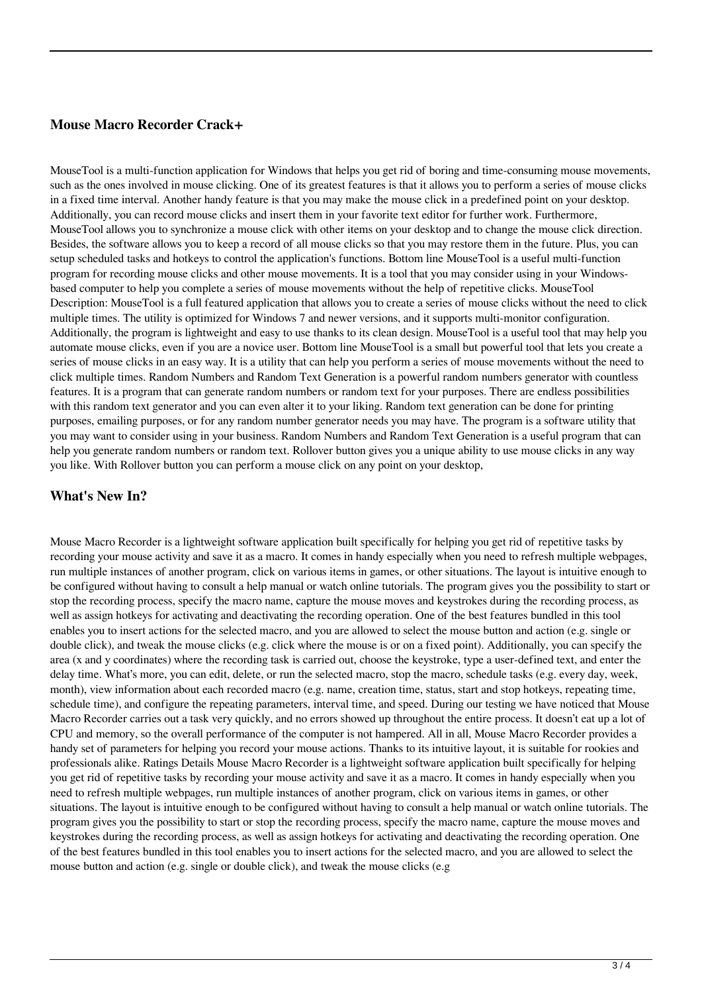### **Mouse Macro Recorder Crack+**

MouseTool is a multi-function application for Windows that helps you get rid of boring and time-consuming mouse movements, such as the ones involved in mouse clicking. One of its greatest features is that it allows you to perform a series of mouse clicks in a fixed time interval. Another handy feature is that you may make the mouse click in a predefined point on your desktop. Additionally, you can record mouse clicks and insert them in your favorite text editor for further work. Furthermore, MouseTool allows you to synchronize a mouse click with other items on your desktop and to change the mouse click direction. Besides, the software allows you to keep a record of all mouse clicks so that you may restore them in the future. Plus, you can setup scheduled tasks and hotkeys to control the application's functions. Bottom line MouseTool is a useful multi-function program for recording mouse clicks and other mouse movements. It is a tool that you may consider using in your Windowsbased computer to help you complete a series of mouse movements without the help of repetitive clicks. MouseTool Description: MouseTool is a full featured application that allows you to create a series of mouse clicks without the need to click multiple times. The utility is optimized for Windows 7 and newer versions, and it supports multi-monitor configuration. Additionally, the program is lightweight and easy to use thanks to its clean design. MouseTool is a useful tool that may help you automate mouse clicks, even if you are a novice user. Bottom line MouseTool is a small but powerful tool that lets you create a series of mouse clicks in an easy way. It is a utility that can help you perform a series of mouse movements without the need to click multiple times. Random Numbers and Random Text Generation is a powerful random numbers generator with countless features. It is a program that can generate random numbers or random text for your purposes. There are endless possibilities with this random text generator and you can even alter it to your liking. Random text generation can be done for printing purposes, emailing purposes, or for any random number generator needs you may have. The program is a software utility that you may want to consider using in your business. Random Numbers and Random Text Generation is a useful program that can help you generate random numbers or random text. Rollover button gives you a unique ability to use mouse clicks in any way you like. With Rollover button you can perform a mouse click on any point on your desktop,

#### **What's New In?**

Mouse Macro Recorder is a lightweight software application built specifically for helping you get rid of repetitive tasks by recording your mouse activity and save it as a macro. It comes in handy especially when you need to refresh multiple webpages, run multiple instances of another program, click on various items in games, or other situations. The layout is intuitive enough to be configured without having to consult a help manual or watch online tutorials. The program gives you the possibility to start or stop the recording process, specify the macro name, capture the mouse moves and keystrokes during the recording process, as well as assign hotkeys for activating and deactivating the recording operation. One of the best features bundled in this tool enables you to insert actions for the selected macro, and you are allowed to select the mouse button and action (e.g. single or double click), and tweak the mouse clicks (e.g. click where the mouse is or on a fixed point). Additionally, you can specify the area (x and y coordinates) where the recording task is carried out, choose the keystroke, type a user-defined text, and enter the delay time. What's more, you can edit, delete, or run the selected macro, stop the macro, schedule tasks (e.g. every day, week, month), view information about each recorded macro (e.g. name, creation time, status, start and stop hotkeys, repeating time, schedule time), and configure the repeating parameters, interval time, and speed. During our testing we have noticed that Mouse Macro Recorder carries out a task very quickly, and no errors showed up throughout the entire process. It doesn't eat up a lot of CPU and memory, so the overall performance of the computer is not hampered. All in all, Mouse Macro Recorder provides a handy set of parameters for helping you record your mouse actions. Thanks to its intuitive layout, it is suitable for rookies and professionals alike. Ratings Details Mouse Macro Recorder is a lightweight software application built specifically for helping you get rid of repetitive tasks by recording your mouse activity and save it as a macro. It comes in handy especially when you need to refresh multiple webpages, run multiple instances of another program, click on various items in games, or other situations. The layout is intuitive enough to be configured without having to consult a help manual or watch online tutorials. The program gives you the possibility to start or stop the recording process, specify the macro name, capture the mouse moves and keystrokes during the recording process, as well as assign hotkeys for activating and deactivating the recording operation. One of the best features bundled in this tool enables you to insert actions for the selected macro, and you are allowed to select the mouse button and action (e.g. single or double click), and tweak the mouse clicks (e.g